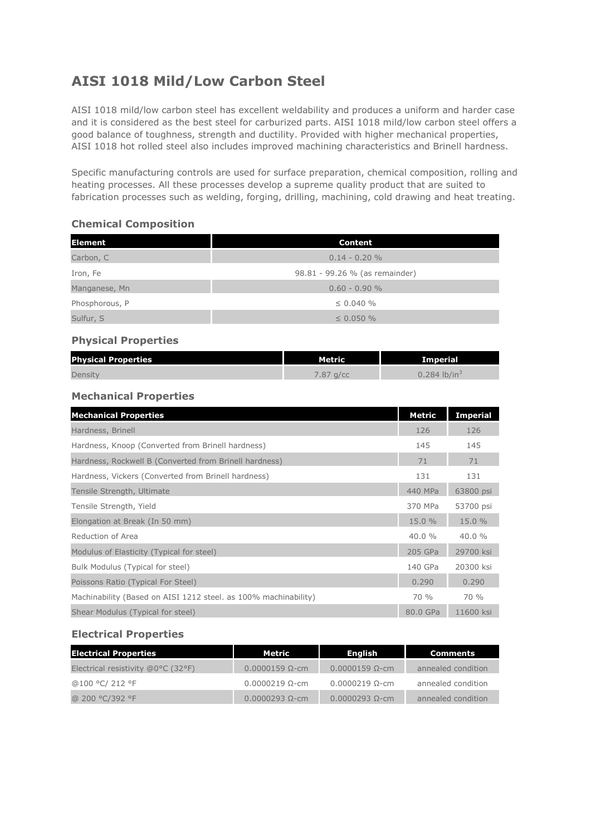# **AISI 1018 Mild/Low Carbon Steel**

AISI 1018 mild/low carbon steel has excellent weldability and produces a uniform and harder case and it is considered as the best steel for carburized parts. AISI 1018 mild/low carbon steel offers a good balance of toughness, strength and ductility. Provided with higher mechanical properties, AISI 1018 hot rolled steel also includes improved machining characteristics and Brinell hardness.

Specific manufacturing controls are used for surface preparation, chemical composition, rolling and heating processes. All these processes develop a supreme quality product that are suited to fabrication processes such as welding, forging, drilling, machining, cold drawing and heat treating.

#### **Chemical Composition**

| <b>Element</b> | Content                        |  |  |
|----------------|--------------------------------|--|--|
| Carbon, C      | $0.14 - 0.20 \%$               |  |  |
| Iron, Fe       | 98.81 - 99.26 % (as remainder) |  |  |
| Manganese, Mn  | $0.60 - 0.90 %$                |  |  |
| Phosphorous, P | $\leq$ 0.040 %                 |  |  |
| Sulfur, S      | $\leq$ 0.050 %                 |  |  |

#### **Physical Properties**

| <b>Physical Properties</b> | <b>Metric</b> | <b>Imperial</b>          |  |
|----------------------------|---------------|--------------------------|--|
| Density                    | $7.87$ g/cc   | 0.284 lb/in <sup>3</sup> |  |

#### **Mechanical Properties**

| <b>Mechanical Properties</b>                                    | Metric   | <b>Imperial</b> |
|-----------------------------------------------------------------|----------|-----------------|
| Hardness, Brinell                                               | 126      | 126             |
| Hardness, Knoop (Converted from Brinell hardness)               | 145      | 145             |
| Hardness, Rockwell B (Converted from Brinell hardness)          | 71       | 71              |
| Hardness, Vickers (Converted from Brinell hardness)             | 131      | 131             |
| Tensile Strength, Ultimate                                      | 440 MPa  | 63800 psi       |
| Tensile Strength, Yield                                         | 370 MPa  | 53700 psi       |
| Elongation at Break (In 50 mm)                                  | 15.0%    | 15.0 %          |
| Reduction of Area                                               | 40.0%    | $40.0 \%$       |
| Modulus of Elasticity (Typical for steel)                       | 205 GPa  | 29700 ksi       |
| Bulk Modulus (Typical for steel)                                | 140 GPa  | 20300 ksi       |
| Poissons Ratio (Typical For Steel)                              | 0.290    | 0.290           |
| Machinability (Based on AISI 1212 steel. as 100% machinability) | 70 %     | $70\%$          |
| Shear Modulus (Typical for steel)                               | 80.0 GPa | 11600 ksi       |

#### **Electrical Properties**

| <b>Electrical Properties</b>       | Metric                   | Enalish                  | Comments           |
|------------------------------------|--------------------------|--------------------------|--------------------|
| Electrical resistivity @0°C (32°F) | $0.0000159$ $\Omega$ -cm | $0.0000159$ $\Omega$ -cm | annealed condition |
| @100 °C/ 212 °F                    | $0.0000219$ $\Omega$ -cm | $0.0000219$ $\Omega$ -cm | annealed condition |
| @ 200 °C/392 °F                    | $0.0000293$ $\Omega$ -cm | $0.0000293$ $\Omega$ -cm | annealed condition |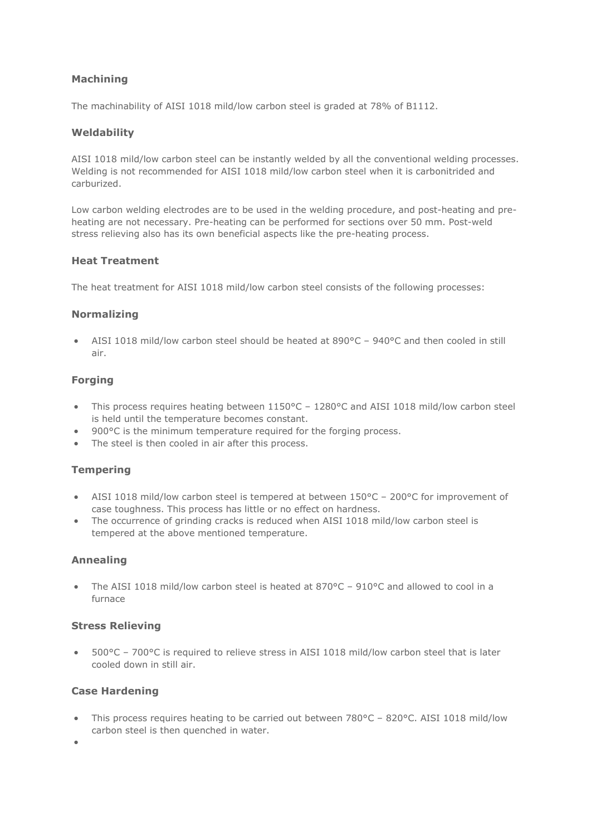# **Machining**

The machinability of AISI 1018 mild/low carbon steel is graded at 78% of B1112.

#### **Weldability**

AISI 1018 mild/low carbon steel can be instantly welded by all the conventional welding processes. Welding is not recommended for AISI 1018 mild/low carbon steel when it is carbonitrided and carburized.

Low carbon welding electrodes are to be used in the welding procedure, and post-heating and preheating are not necessary. Pre-heating can be performed for sections over 50 mm. Post-weld stress relieving also has its own beneficial aspects like the pre-heating process.

## **Heat Treatment**

The heat treatment for AISI 1018 mild/low carbon steel consists of the following processes:

## **Normalizing**

• AISI 1018 mild/low carbon steel should be heated at 890°C – 940°C and then cooled in still air.

## **Forging**

- This process requires heating between 1150°C 1280°C and AISI 1018 mild/low carbon steel is held until the temperature becomes constant.
- 900°C is the minimum temperature required for the forging process.
- The steel is then cooled in air after this process.

## **Tempering**

- AISI 1018 mild/low carbon steel is tempered at between 150°C 200°C for improvement of case toughness. This process has little or no effect on hardness.
- The occurrence of grinding cracks is reduced when AISI 1018 mild/low carbon steel is tempered at the above mentioned temperature.

## **Annealing**

• The AISI 1018 mild/low carbon steel is heated at 870°C – 910°C and allowed to cool in a furnace

#### **Stress Relieving**

• 500°C – 700°C is required to relieve stress in AISI 1018 mild/low carbon steel that is later cooled down in still air.

#### **Case Hardening**

• This process requires heating to be carried out between 780°C – 820°C. AISI 1018 mild/low carbon steel is then quenched in water.

•